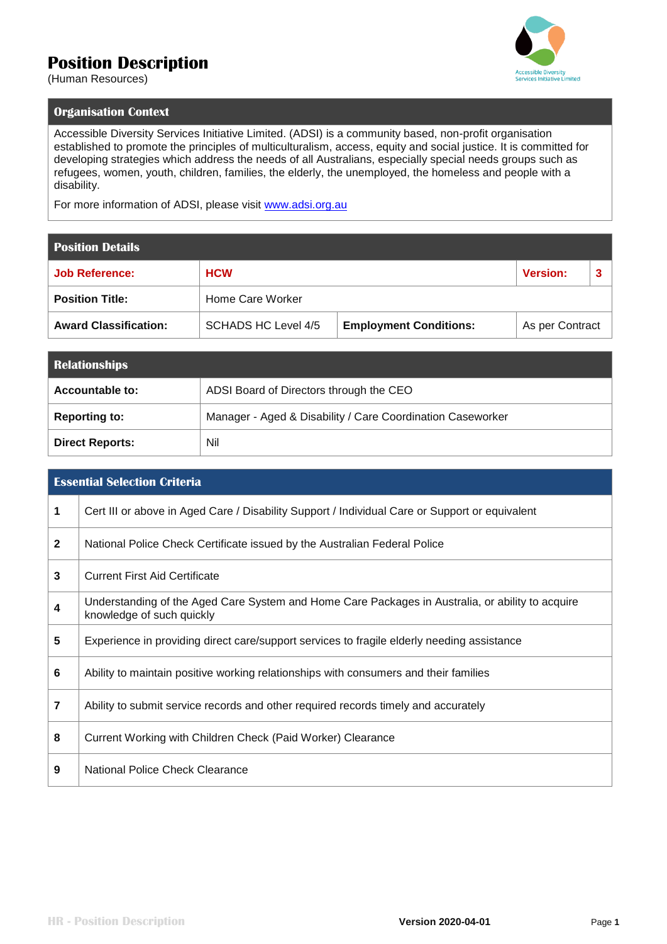## **Position Description**



(Human Resources)

## **Organisation Context**

Accessible Diversity Services Initiative Limited. (ADSI) is a community based, non-profit organisation established to promote the principles of multiculturalism, access, equity and social justice. It is committed for developing strategies which address the needs of all Australians, especially special needs groups such as refugees, women, youth, children, families, the elderly, the unemployed, the homeless and people with a disability.

For more information of ADSI, please visit [www.adsi.org.au](http://www.adsi.org.au/)

## **Position Details**

| <b>Job Reference:</b>        | <b>HCW</b>          |                               | <b>Version:</b> |  |
|------------------------------|---------------------|-------------------------------|-----------------|--|
| <b>Position Title:</b>       | Home Care Worker    |                               |                 |  |
| <b>Award Classification:</b> | SCHADS HC Level 4/5 | <b>Employment Conditions:</b> | As per Contract |  |

| <b>Relationships</b>   |                                                            |
|------------------------|------------------------------------------------------------|
| Accountable to:        | ADSI Board of Directors through the CEO                    |
| <b>Reporting to:</b>   | Manager - Aged & Disability / Care Coordination Caseworker |
| <b>Direct Reports:</b> | Nil                                                        |

| <b>Essential Selection Criteria</b> |                                                                                                                               |  |
|-------------------------------------|-------------------------------------------------------------------------------------------------------------------------------|--|
| 1                                   | Cert III or above in Aged Care / Disability Support / Individual Care or Support or equivalent                                |  |
| $\overline{2}$                      | National Police Check Certificate issued by the Australian Federal Police                                                     |  |
| 3                                   | <b>Current First Aid Certificate</b>                                                                                          |  |
| 4                                   | Understanding of the Aged Care System and Home Care Packages in Australia, or ability to acquire<br>knowledge of such quickly |  |
| 5                                   | Experience in providing direct care/support services to fragile elderly needing assistance                                    |  |
| 6                                   | Ability to maintain positive working relationships with consumers and their families                                          |  |
| $\overline{7}$                      | Ability to submit service records and other required records timely and accurately                                            |  |
| 8                                   | Current Working with Children Check (Paid Worker) Clearance                                                                   |  |
| 9                                   | National Police Check Clearance                                                                                               |  |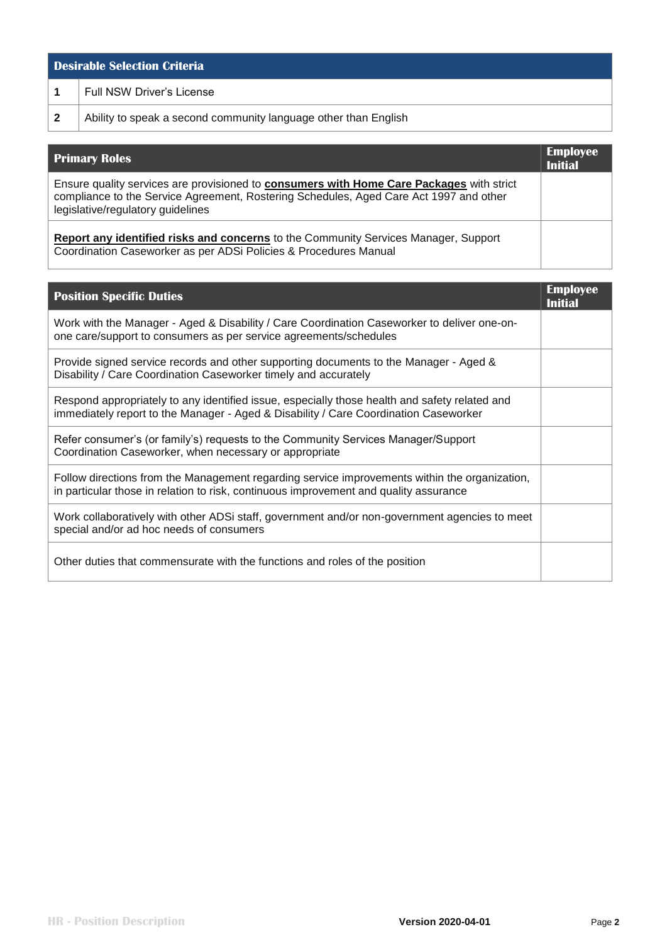| <b>Desirable Selection Criteria</b> |                                                                 |  |
|-------------------------------------|-----------------------------------------------------------------|--|
|                                     | Full NSW Driver's License                                       |  |
|                                     | Ability to speak a second community language other than English |  |

| <b>Primary Roles</b>                                                                                                                                                                                                    | <b>Employee</b><br><b>Initial</b> |
|-------------------------------------------------------------------------------------------------------------------------------------------------------------------------------------------------------------------------|-----------------------------------|
| Ensure quality services are provisioned to consumers with Home Care Packages with strict<br>compliance to the Service Agreement, Rostering Schedules, Aged Care Act 1997 and other<br>legislative/regulatory guidelines |                                   |
| Report any identified risks and concerns to the Community Services Manager, Support<br>Coordination Caseworker as per ADSi Policies & Procedures Manual                                                                 |                                   |

| <b>Position Specific Duties</b>                                                                                                                                                        | <b>Employee</b><br><b>Initial</b> |
|----------------------------------------------------------------------------------------------------------------------------------------------------------------------------------------|-----------------------------------|
| Work with the Manager - Aged & Disability / Care Coordination Caseworker to deliver one-on-<br>one care/support to consumers as per service agreements/schedules                       |                                   |
| Provide signed service records and other supporting documents to the Manager - Aged &<br>Disability / Care Coordination Caseworker timely and accurately                               |                                   |
| Respond appropriately to any identified issue, especially those health and safety related and<br>immediately report to the Manager - Aged & Disability / Care Coordination Caseworker  |                                   |
| Refer consumer's (or family's) requests to the Community Services Manager/Support<br>Coordination Caseworker, when necessary or appropriate                                            |                                   |
| Follow directions from the Management regarding service improvements within the organization,<br>in particular those in relation to risk, continuous improvement and quality assurance |                                   |
| Work collaboratively with other ADSi staff, government and/or non-government agencies to meet<br>special and/or ad hoc needs of consumers                                              |                                   |
| Other duties that commensurate with the functions and roles of the position                                                                                                            |                                   |